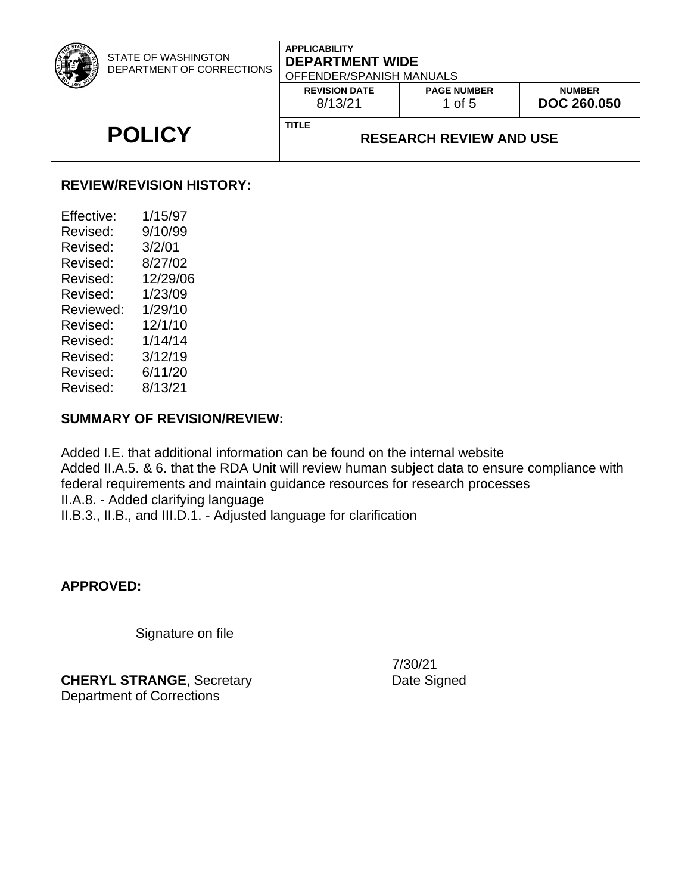| STATE OF WASHINGTON<br>DEPARTMENT OF CORRECTIONS | <b>APPLICABILITY</b><br><b>DEPARTMENT WIDE</b><br>OFFENDER/SPANISH MANUALS |                                |                                     |
|--------------------------------------------------|----------------------------------------------------------------------------|--------------------------------|-------------------------------------|
|                                                  | <b>REVISION DATE</b><br>8/13/21                                            | <b>PAGE NUMBER</b><br>1 of $5$ | <b>NUMBER</b><br><b>DOC 260.050</b> |
| <b>POLICY</b>                                    | <b>TITLE</b><br><b>RESEARCH REVIEW AND USE</b>                             |                                |                                     |

# **REVIEW/REVISION HISTORY:**

| Effective: | 1/15/97  |
|------------|----------|
| Revised:   | 9/10/99  |
| Revised:   | 3/2/01   |
| Revised:   | 8/27/02  |
| Revised:   | 12/29/06 |
| Revised:   | 1/23/09  |
| Reviewed:  | 1/29/10  |
| Revised:   | 12/1/10  |
| Revised:   | 1/14/14  |
| Revised:   | 3/12/19  |
| Revised:   | 6/11/20  |
| Revised:   | 8/13/21  |

# **SUMMARY OF REVISION/REVIEW:**

Added I.E. that additional information can be found on the internal website Added II.A.5. & 6. that the RDA Unit will review human subject data to ensure compliance with federal requirements and maintain guidance resources for research processes II.A.8. - Added clarifying language II.B.3., II.B., and III.D.1. - Adjusted language for clarification

#### **APPROVED:**

Signature on file

**CHERYL STRANGE**, Secretary Department of Corrections

7/30/21

Date Signed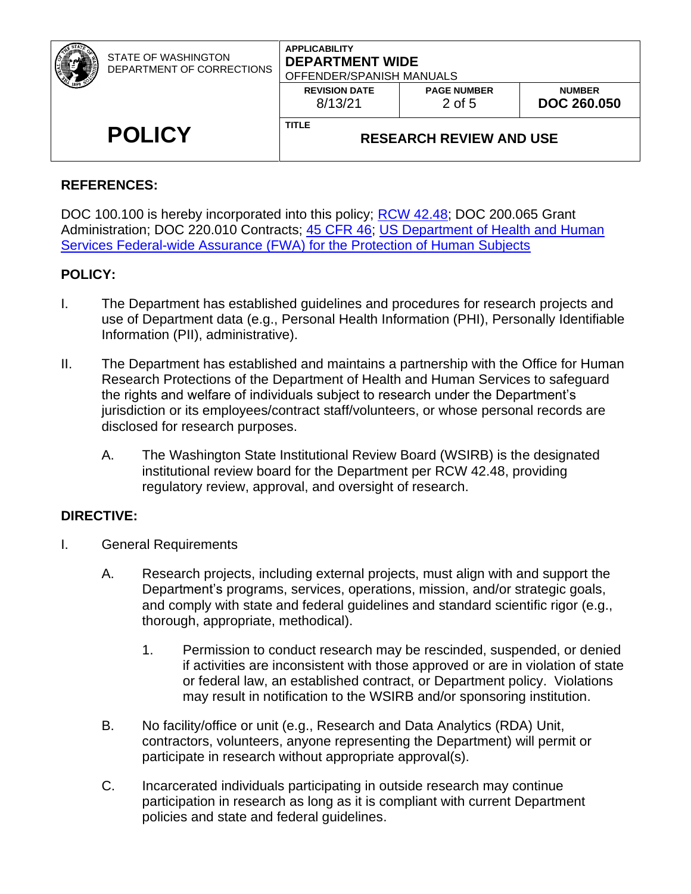| STATE OF WASHINGTON<br>DEPARTMENT OF CORRECTIONS | <b>APPLICABILITY</b><br><b>DEPARTMENT WIDE</b><br>OFFENDER/SPANISH MANUALS |                              |                                     |
|--------------------------------------------------|----------------------------------------------------------------------------|------------------------------|-------------------------------------|
|                                                  | <b>REVISION DATE</b><br>8/13/21                                            | <b>PAGE NUMBER</b><br>2 of 5 | <b>NUMBER</b><br><b>DOC 260,050</b> |
| <b>POLICY</b>                                    | <b>TITLE</b><br><b>RESEARCH REVIEW AND USE</b>                             |                              |                                     |

# **REFERENCES:**

DOC 100.100 is hereby incorporated into this policy; **RCW 42.48;** DOC 200.065 Grant Administration; DOC 220.010 Contracts; [45 CFR 46;](http://www.hhs.gov/ohrp/humansubjects/guidance/45cfr46.html) US Department of Health and Human [Services Federal-wide Assurance \(FWA\) for the Protection of Human Subjects](https://www.hhs.gov/ohrp/register-irbs-and-obtain-fwas/fwas/fwa-protection-of-human-subjecct/index.html)

# **POLICY:**

- I. The Department has established guidelines and procedures for research projects and use of Department data (e.g., Personal Health Information (PHI), Personally Identifiable Information (PII), administrative).
- II. The Department has established and maintains a partnership with the Office for Human Research Protections of the Department of Health and Human Services to safeguard the rights and welfare of individuals subject to research under the Department's jurisdiction or its employees/contract staff/volunteers, or whose personal records are disclosed for research purposes.
	- A. The Washington State Institutional Review Board (WSIRB) is the designated institutional review board for the Department per RCW 42.48, providing regulatory review, approval, and oversight of research.

# **DIRECTIVE:**

- I. General Requirements
	- A. Research projects, including external projects, must align with and support the Department's programs, services, operations, mission, and/or strategic goals, and comply with state and federal guidelines and standard scientific rigor (e.g., thorough, appropriate, methodical).
		- 1. Permission to conduct research may be rescinded, suspended, or denied if activities are inconsistent with those approved or are in violation of state or federal law, an established contract, or Department policy. Violations may result in notification to the WSIRB and/or sponsoring institution.
	- B. No facility/office or unit (e.g., Research and Data Analytics (RDA) Unit, contractors, volunteers, anyone representing the Department) will permit or participate in research without appropriate approval(s).
	- C. Incarcerated individuals participating in outside research may continue participation in research as long as it is compliant with current Department policies and state and federal guidelines.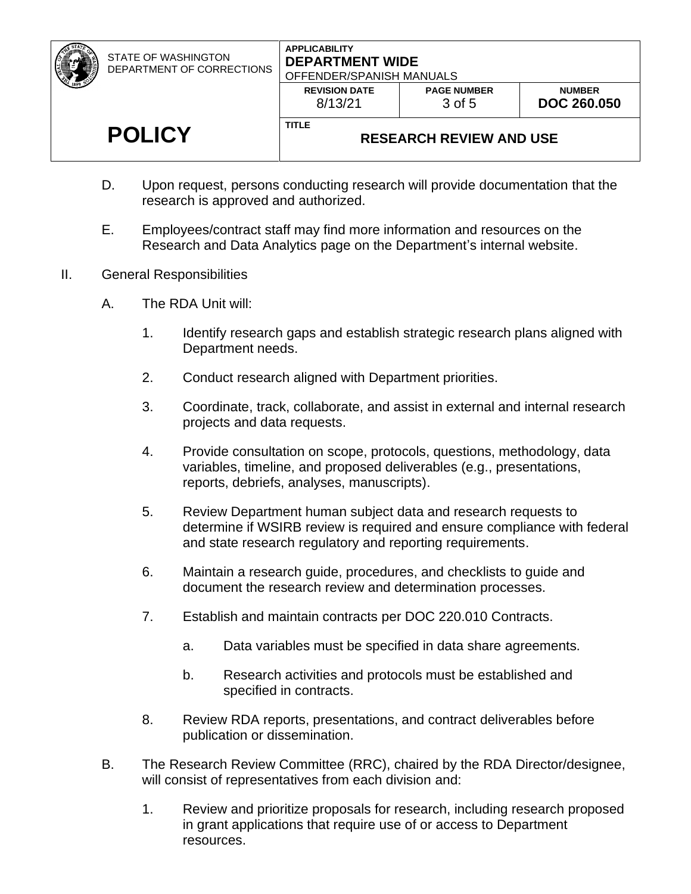STATE OF WASHINGTON DEPARTMENT OF CORRECTIONS

#### **APPLICABILITY DEPARTMENT WIDE** OFFENDER/SPANISH MANUALS

| <b>POLICY</b> | <b>TITLE</b>                                                | <b>RESEARCH REVIEW AND USE</b> |                                     |
|---------------|-------------------------------------------------------------|--------------------------------|-------------------------------------|
|               | OFFENDER/SPANISH MANUALS<br><b>REVISION DATE</b><br>8/13/21 | <b>PAGE NUMBER</b><br>3 of 5   | <b>NUMBER</b><br><b>DOC 260.050</b> |

- D. Upon request, persons conducting research will provide documentation that the research is approved and authorized.
- E. Employees/contract staff may find more information and resources on the Research and Data Analytics page on the Department's internal website.
- II. General Responsibilities
	- A. The RDA Unit will:
		- 1. Identify research gaps and establish strategic research plans aligned with Department needs.
		- 2. Conduct research aligned with Department priorities.
		- 3. Coordinate, track, collaborate, and assist in external and internal research projects and data requests.
		- 4. Provide consultation on scope, protocols, questions, methodology, data variables, timeline, and proposed deliverables (e.g., presentations, reports, debriefs, analyses, manuscripts).
		- 5. Review Department human subject data and research requests to determine if WSIRB review is required and ensure compliance with federal and state research regulatory and reporting requirements.
		- 6. Maintain a research guide, procedures, and checklists to guide and document the research review and determination processes.
		- 7. Establish and maintain contracts per DOC 220.010 Contracts.
			- a. Data variables must be specified in data share agreements.
			- b. Research activities and protocols must be established and specified in contracts.
		- 8. Review RDA reports, presentations, and contract deliverables before publication or dissemination.
	- B. The Research Review Committee (RRC), chaired by the RDA Director/designee, will consist of representatives from each division and:
		- 1. Review and prioritize proposals for research, including research proposed in grant applications that require use of or access to Department resources.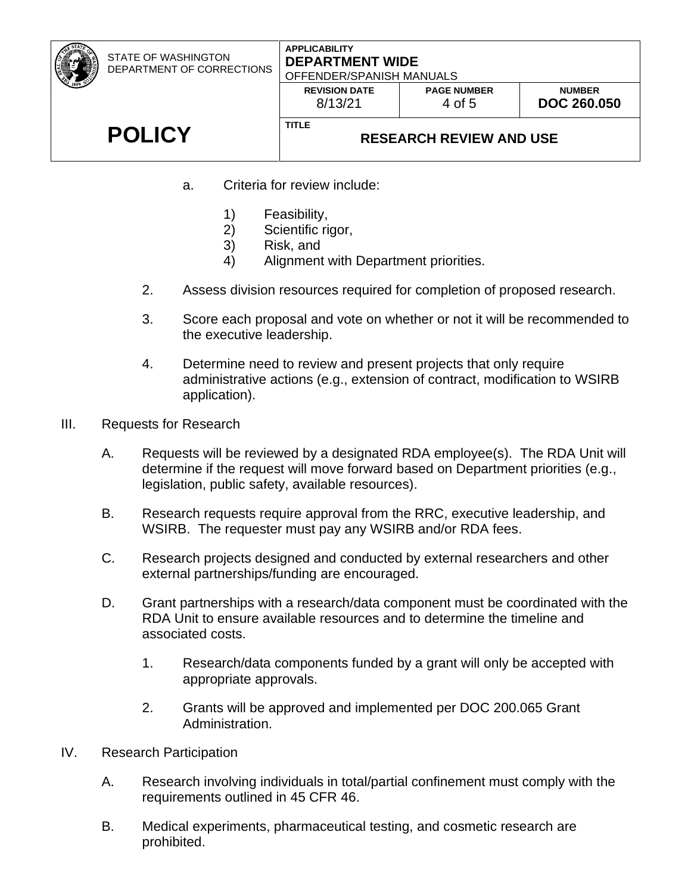| STATE OF WASHINGTON<br>DEPARTMENT OF CORRECTIONS | <b>APPLICABILITY</b><br><b>DEPARTMENT WIDE</b><br>OFFENDER/SPANISH MANUALS |                              |                                     |
|--------------------------------------------------|----------------------------------------------------------------------------|------------------------------|-------------------------------------|
|                                                  | <b>REVISION DATE</b><br>8/13/21                                            | <b>PAGE NUMBER</b><br>4 of 5 | <b>NUMBER</b><br><b>DOC 260,050</b> |
| <b>POLICY</b>                                    | <b>TITLE</b><br><b>RESEARCH REVIEW AND USE</b>                             |                              |                                     |

- a. Criteria for review include:
	- 1) Feasibility,
	- 2) Scientific rigor,
	- 3) Risk, and
	- 4) Alignment with Department priorities.
- 2. Assess division resources required for completion of proposed research.
- 3. Score each proposal and vote on whether or not it will be recommended to the executive leadership.
- 4. Determine need to review and present projects that only require administrative actions (e.g., extension of contract, modification to WSIRB application).
- III. Requests for Research
	- A. Requests will be reviewed by a designated RDA employee(s). The RDA Unit will determine if the request will move forward based on Department priorities (e.g., legislation, public safety, available resources).
	- B. Research requests require approval from the RRC, executive leadership, and WSIRB. The requester must pay any WSIRB and/or RDA fees.
	- C. Research projects designed and conducted by external researchers and other external partnerships/funding are encouraged.
	- D. Grant partnerships with a research/data component must be coordinated with the RDA Unit to ensure available resources and to determine the timeline and associated costs.
		- 1. Research/data components funded by a grant will only be accepted with appropriate approvals.
		- 2. Grants will be approved and implemented per DOC 200.065 Grant Administration.
- IV. Research Participation
	- A. Research involving individuals in total/partial confinement must comply with the requirements outlined in 45 CFR 46.
	- B. Medical experiments, pharmaceutical testing, and cosmetic research are prohibited.